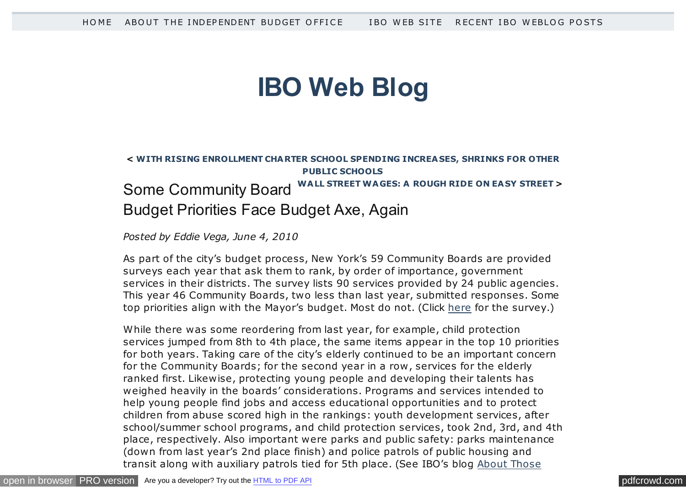# **[IBO Web Blog](http://ibo.nyc.ny.us/cgi-park/)**

## **< [WITH RISING ENROLLMENT CHARTER SCHOOL SPENDING INCREA SES, SHRINKS FOR OTHER](http://ibo.nyc.ny.us/cgi-park/?p=159) PUBLIC SCHOOLS [WALL STREET WAGES: A ROUGH RIDE ON EA SY STREET](http://ibo.nyc.ny.us/cgi-park/?p=169) >** Some Community Board Budget Priorities Face Budget Axe, Again

#### *Posted by Eddie Vega, June 4, 2010*

As part of the city's budget process, New York's 59 Community Boards are provided surveys each year that ask them to rank, by order of importance, government services in their districts. The survey lists 90 services provided by 24 public agencies. This year 46 Community Boards, two less than last year, submitted responses. Some top priorities align with the Mayor's budget. Most do not. (Click [here](http://www.ibo.nyc.ny.us/iboreports/cbserviceprogramrankings.pdf) for the survey.)

While there was some reordering from last year, for example, child protection services jumped from 8th to 4th place, the same items appear in the top 10 priorities for both years. Taking care of the city's elderly continued to be an important concern for the Community Boards; for the second year in a row , services for the elderly ranked first. Likewise, protecting young people and developing their talents has weighed heavily in the boards' considerations. Programs and services intended to help young people find jobs and access educational opportunities and to protect children from abuse scored high in the rankings: youth development services, after school/summer school programs, and child protection services, took 2nd, 3rd, and 4th place, respectively. Also important were parks and public safety: parks maintenance (down from last year's 2nd place finish) and police patrols of public housing and [transit along with auxiliary patrols tied for 5th place. \(See IBO's blog About Those](http://ibo.nyc.ny.us/cgi-park/?p=42)

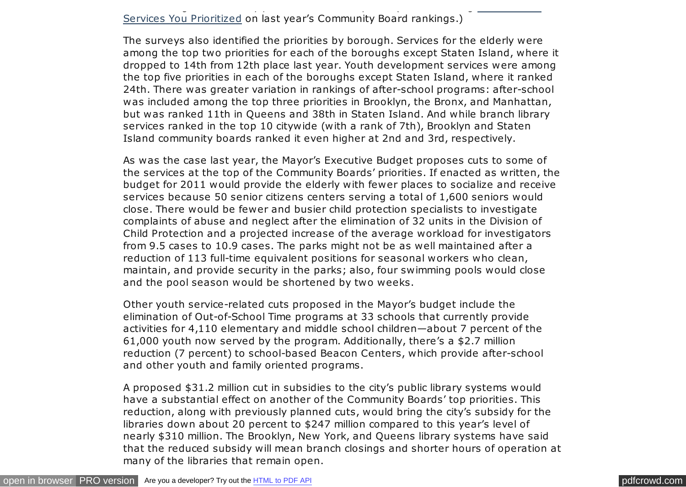## Services You Prioritized on last year's Community Board rankings.)

The surveys also identified the priorities by borough. Services for the elderly were among the top two priorities for each of the boroughs except Staten Island, where it dropped to 14th from 12th place last year. Youth development services were among the top five priorities in each of the boroughs except Staten Island, where it ranked 24th. There was greater variation in rankings of after-school programs: after-school was included among the top three priorities in Brooklyn, the Bronx, and Manhattan, but was ranked 11th in Queens and 38th in Staten Island. And while branch library services ranked in the top 10 citywide (with a rank of 7th), Brooklyn and Staten Island community boards ranked it even higher at 2nd and 3rd, respectively.

[transit along with auxiliary patrols tied for 5th place. \(See IBO's blog About Those](http://ibo.nyc.ny.us/cgi-park/?p=42)

As was the case last year, the Mayor's Executive Budget proposes cuts to some of the services at the top of the Community Boards' priorities. If enacted as written, the budget for 2011 would provide the elderly with fewer places to socialize and receive services because 50 senior citizens centers serving a total of 1,600 seniors would close. There would be fewer and busier child protection specialists to investigate complaints of abuse and neglect after the elimination of 32 units in the Division of Child Protection and a projected increase of the average workload for investigators from 9.5 cases to 10.9 cases. The parks might not be as well maintained after a reduction of 113 full-time equivalent positions for seasonal workers who clean, maintain, and provide security in the parks; also, four swimming pools would close and the pool season would be shortened by two weeks.

Other youth service-related cuts proposed in the Mayor's budget include the elimination of Out-of-School Time programs at 33 schools that currently provide activities for 4,110 elementary and middle school children—about 7 percent of the 61,000 youth now served by the program. Additionally, there's a \$2.7 million reduction (7 percent) to school-based Beacon Centers, which provide after-school and other youth and family oriented programs.

A proposed \$31.2 million cut in subsidies to the city's public library systems would have a substantial effect on another of the Community Boards' top priorities. This reduction, along with previously planned cuts, would bring the city's subsidy for the libraries down about 20 percent to \$247 million compared to this year's level of nearly \$310 million. The Brooklyn, New York, and Queens library systems have said that the reduced subsidy will mean branch closings and shorter hours of operation at many of the libraries that remain open.